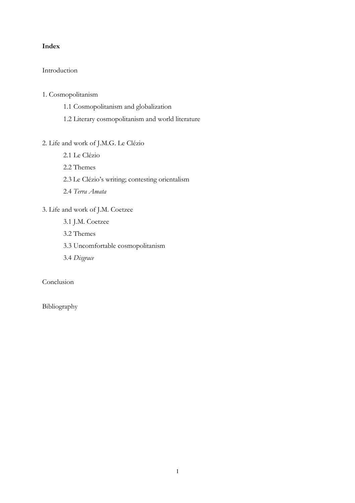## Index

# Introduction

## 1. Cosmopolitanism

- 1.1 Cosmopolitanism and globalization
- 1.2 Literary cosmopolitanism and world literature

# 2. Life and work of J.M.G. Le Clézio

- 2.1 Le Clézio
- 2.2 Themes
- 2.3 Le Clézio's writing; contesting orientalism
- 2.4 Terra Amata

# 3. Life and work of J.M. Coetzee

- 3.1 J.M. Coetzee
- 3.2 Themes
- 3.3 Uncomfortable cosmopolitanism
- 3.4 Disgrace

# Conclusion

Bibliography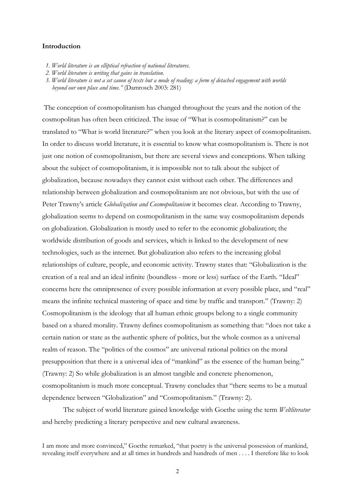### Introduction

- 1. World literature is an elliptical refraction of national literatures.
- 2. World literature is writing that gains in translation.
- 3. World literature is not a set canon of texts but a mode of reading: a form of detached engagement with worlds beyond our own place and time." (Damrosch 2003: 281)

The conception of cosmopolitanism has changed throughout the years and the notion of the cosmopolitan has often been criticized. The issue of "What is cosmopolitanism?" can be translated to "What is world literature?" when you look at the literary aspect of cosmopolitanism. In order to discuss world literature, it is essential to know what cosmopolitanism is. There is not just one notion of cosmopolitanism, but there are several views and conceptions. When talking about the subject of cosmopolitanism, it is impossible not to talk about the subject of globalization, because nowadays they cannot exist without each other. The differences and relationship between globalization and cosmopolitanism are not obvious, but with the use of Peter Trawny's article Globalization and Cosmopolitanism it becomes clear. According to Trawny, globalization seems to depend on cosmopolitanism in the same way cosmopolitanism depends on globalization. Globalization is mostly used to refer to the economic globalization; the worldwide distribution of goods and services, which is linked to the development of new technologies, such as the internet. But globalization also refers to the increasing global relationships of culture, people, and economic activity. Trawny states that: "Globalization is the creation of a real and an ideal infinite (boundless - more or less) surface of the Earth. "Ideal" concerns here the omnipresence of every possible information at every possible place, and "real" means the infinite technical mastering of space and time by traffic and transport." (Trawny: 2) Cosmopolitanism is the ideology that all human ethnic groups belong to a single community based on a shared morality. Trawny defines cosmopolitanism as something that: "does not take a certain nation or state as the authentic sphere of politics, but the whole cosmos as a universal realm of reason. The "politics of the cosmos" are universal rational politics on the moral presupposition that there is a universal idea of "mankind" as the essence of the human being." (Trawny: 2) So while globalization is an almost tangible and concrete phenomenon, cosmopolitanism is much more conceptual. Trawny concludes that "there seems to be a mutual dependence between "Globalization" and "Cosmopolitanism." (Trawny: 2).

The subject of world literature gained knowledge with Goethe using the term Weltliteratur and hereby predicting a literary perspective and new cultural awareness.

I am more and more convinced," Goethe remarked, "that poetry is the universal possession of mankind, revealing itself everywhere and at all times in hundreds and hundreds of men . . . . I therefore like to look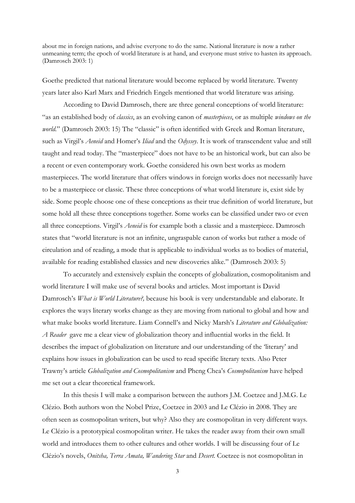about me in foreign nations, and advise everyone to do the same. National literature is now a rather unmeaning term; the epoch of world literature is at hand, and everyone must strive to hasten its approach. (Damrosch 2003: 1)

Goethe predicted that national literature would become replaced by world literature. Twenty years later also Karl Marx and Friedrich Engels mentioned that world literature was arising.

 According to David Damrosch, there are three general conceptions of world literature: "as an established body of *classics*, as an evolving canon of *masterpieces*, or as multiple *windows on the* world." (Damrosch 2003: 15) The "classic" is often identified with Greek and Roman literature, such as Virgil's Aeneid and Homer's Iliad and the Odyssey. It is work of transcendent value and still taught and read today. The "masterpiece" does not have to be an historical work, but can also be a recent or even contemporary work. Goethe considered his own best works as modern masterpieces. The world literature that offers windows in foreign works does not necessarily have to be a masterpiece or classic. These three conceptions of what world literature is, exist side by side. Some people choose one of these conceptions as their true definition of world literature, but some hold all these three conceptions together. Some works can be classified under two or even all three conceptions. Virgil's Aeneid is for example both a classic and a masterpiece. Damrosch states that "world literature is not an infinite, ungraspable canon of works but rather a mode of circulation and of reading, a mode that is applicable to individual works as to bodies of material, available for reading established classics and new discoveries alike." (Damrosch 2003: 5)

 To accurately and extensively explain the concepts of globalization, cosmopolitanism and world literature I will make use of several books and articles. Most important is David Damrosch's What is World Literature?, because his book is very understandable and elaborate. It explores the ways literary works change as they are moving from national to global and how and what make books world literature. Liam Connell's and Nicky Marsh's Literature and Globalization: A Reader gave me a clear view of globalization theory and influential works in the field. It describes the impact of globalization on literature and our understanding of the 'literary' and explains how issues in globalization can be used to read specific literary texts. Also Peter Trawny's article Globalization and Cosmopolitanism and Pheng Chea's Cosmopolitanism have helped me set out a clear theoretical framework.

 In this thesis I will make a comparison between the authors J.M. Coetzee and J.M.G. Le Clézio. Both authors won the Nobel Prize, Coetzee in 2003 and Le Clézio in 2008. They are often seen as cosmopolitan writers, but why? Also they are cosmopolitan in very different ways. Le Clézio is a prototypical cosmopolitan writer. He takes the reader away from their own small world and introduces them to other cultures and other worlds. I will be discussing four of Le Clézio's novels, Onitsha, Terra Amata, Wandering Star and Desert. Coetzee is not cosmopolitan in

3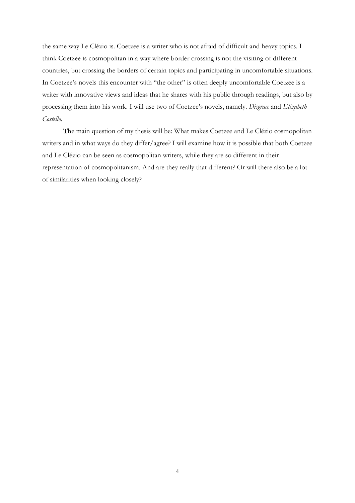the same way Le Clézio is. Coetzee is a writer who is not afraid of difficult and heavy topics. I think Coetzee is cosmopolitan in a way where border crossing is not the visiting of different countries, but crossing the borders of certain topics and participating in uncomfortable situations. In Coetzee's novels this encounter with "the other" is often deeply uncomfortable Coetzee is a writer with innovative views and ideas that he shares with his public through readings, but also by processing them into his work. I will use two of Coetzee's novels, namely. Disgrace and Elizabeth Costello.

The main question of my thesis will be: What makes Coetzee and Le Clézio cosmopolitan writers and in what ways do they differ/agree? I will examine how it is possible that both Coetzee and Le Clézio can be seen as cosmopolitan writers, while they are so different in their representation of cosmopolitanism. And are they really that different? Or will there also be a lot of similarities when looking closely?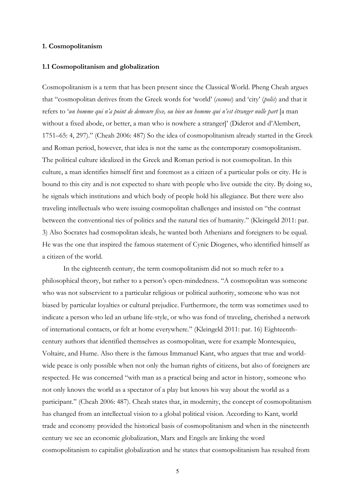### 1. Cosmopolitanism

#### 1.1 Cosmopolitanism and globalization

Cosmopolitanism is a term that has been present since the Classical World. Pheng Cheah argues that "cosmopolitan derives from the Greek words for 'world' (cosmos) and 'city' (polis) and that it refers to 'un homme qui n'a point de demeure fixe, ou bien un homme qui n'est étranger nulle part [a man without a fixed abode, or better, a man who is nowhere a stranger]' (Diderot and d'Alembert, 1751–65: 4, 297)." (Cheah 2006: 487) So the idea of cosmopolitanism already started in the Greek and Roman period, however, that idea is not the same as the contemporary cosmopolitanism. The political culture idealized in the Greek and Roman period is not cosmopolitan. In this culture, a man identifies himself first and foremost as a citizen of a particular polis or city. He is bound to this city and is not expected to share with people who live outside the city. By doing so, he signals which institutions and which body of people hold his allegiance. But there were also traveling intellectuals who were issuing cosmopolitan challenges and insisted on "the contrast between the conventional ties of politics and the natural ties of humanity." (Kleingeld 2011: par. 3) Also Socrates had cosmopolitan ideals, he wanted both Athenians and foreigners to be equal. He was the one that inspired the famous statement of Cynic Diogenes, who identified himself as a citizen of the world.

 In the eighteenth century, the term cosmopolitanism did not so much refer to a philosophical theory, but rather to a person's open-mindedness. "A cosmopolitan was someone who was not subservient to a particular religious or political authority, someone who was not biased by particular loyalties or cultural prejudice. Furthermore, the term was sometimes used to indicate a person who led an urbane life-style, or who was fond of traveling, cherished a network of international contacts, or felt at home everywhere." (Kleingeld 2011: par. 16) Eighteenthcentury authors that identified themselves as cosmopolitan, were for example Montesquieu, Voltaire, and Hume. Also there is the famous Immanuel Kant, who argues that true and worldwide peace is only possible when not only the human rights of citizens, but also of foreigners are respected. He was concerned "with man as a practical being and actor in history, someone who not only knows the world as a spectator of a play but knows his way about the world as a participant." (Cheah 2006: 487). Cheah states that, in modernity, the concept of cosmopolitanism has changed from an intellectual vision to a global political vision. According to Kant, world trade and economy provided the historical basis of cosmopolitanism and when in the nineteenth century we see an economic globalization, Marx and Engels are linking the word cosmopolitanism to capitalist globalization and he states that cosmopolitanism has resulted from

5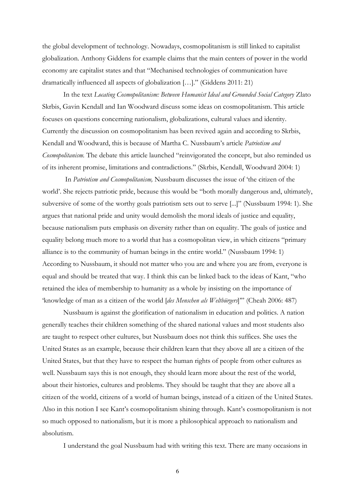the global development of technology. Nowadays, cosmopolitanism is still linked to capitalist globalization. Anthony Giddens for example claims that the main centers of power in the world economy are capitalist states and that "Mechanised technologies of communication have dramatically influenced all aspects of globalization […]." (Giddens 2011: 21)

 In the text Locating Cosmopolitanism: Between Humanist Ideal and Grounded Social Category Zlato Skrbis, Gavin Kendall and Ian Woodward discuss some ideas on cosmopolitanism. This article focuses on questions concerning nationalism, globalizations, cultural values and identity. Currently the discussion on cosmopolitanism has been revived again and according to Skrbis, Kendall and Woodward, this is because of Martha C. Nussbaum's article Patriotism and Cosmopolitanism. The debate this article launched "reinvigorated the concept, but also reminded us of its inherent promise, limitations and contradictions." (Skrbis, Kendall, Woodward 2004: 1)

 In Patriotism and Cosmopolitanism, Nussbaum discusses the issue of 'the citizen of the world'. She rejects patriotic pride, because this would be "both morally dangerous and, ultimately, subversive of some of the worthy goals patriotism sets out to serve [...]" (Nussbaum 1994: 1). She argues that national pride and unity would demolish the moral ideals of justice and equality, because nationalism puts emphasis on diversity rather than on equality. The goals of justice and equality belong much more to a world that has a cosmopolitan view, in which citizens "primary alliance is to the community of human beings in the entire world." (Nussbaum 1994: 1) According to Nussbaum, it should not matter who you are and where you are from, everyone is equal and should be treated that way. I think this can be linked back to the ideas of Kant, "who retained the idea of membership to humanity as a whole by insisting on the importance of 'knowledge of man as a citizen of the world [des Menschen als Weltbürgers]'" (Cheah 2006: 487)

 Nussbaum is against the glorification of nationalism in education and politics. A nation generally teaches their children something of the shared national values and most students also are taught to respect other cultures, but Nussbaum does not think this suffices. She uses the United States as an example, because their children learn that they above all are a citizen of the United States, but that they have to respect the human rights of people from other cultures as well. Nussbaum says this is not enough, they should learn more about the rest of the world, about their histories, cultures and problems. They should be taught that they are above all a citizen of the world, citizens of a world of human beings, instead of a citizen of the United States. Also in this notion I see Kant's cosmopolitanism shining through. Kant's cosmopolitanism is not so much opposed to nationalism, but it is more a philosophical approach to nationalism and absolutism.

I understand the goal Nussbaum had with writing this text. There are many occasions in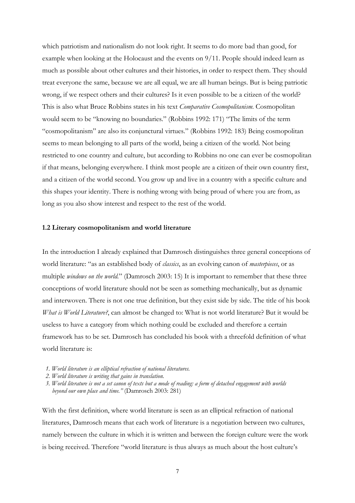which patriotism and nationalism do not look right. It seems to do more bad than good, for example when looking at the Holocaust and the events on 9/11. People should indeed learn as much as possible about other cultures and their histories, in order to respect them. They should treat everyone the same, because we are all equal, we are all human beings. But is being patriotic wrong, if we respect others and their cultures? Is it even possible to be a citizen of the world? This is also what Bruce Robbins states in his text Comparative Cosmopolitanism. Cosmopolitan would seem to be "knowing no boundaries." (Robbins 1992: 171) "The limits of the term "cosmopolitanism" are also its conjunctural virtues." (Robbins 1992: 183) Being cosmopolitan seems to mean belonging to all parts of the world, being a citizen of the world. Not being restricted to one country and culture, but according to Robbins no one can ever be cosmopolitan if that means, belonging everywhere. I think most people are a citizen of their own country first, and a citizen of the world second. You grow up and live in a country with a specific culture and this shapes your identity. There is nothing wrong with being proud of where you are from, as long as you also show interest and respect to the rest of the world.

#### 1.2 Literary cosmopolitanism and world literature

In the introduction I already explained that Damrosch distinguishes three general conceptions of world literature: "as an established body of *classics*, as an evolving canon of *masterpieces*, or as multiple windows on the world." (Damrosch 2003: 15) It is important to remember that these three conceptions of world literature should not be seen as something mechanically, but as dynamic and interwoven. There is not one true definition, but they exist side by side. The title of his book What is World Literature?, can almost be changed to: What is not world literature? But it would be useless to have a category from which nothing could be excluded and therefore a certain framework has to be set. Damrosch has concluded his book with a threefold definition of what world literature is:

- 1. World literature is an elliptical refraction of national literatures.
- 2. World literature is writing that gains in translation.
- 3. World literature is not a set canon of texts but a mode of reading: a form of detached engagement with worlds beyond our own place and time." (Damrosch 2003: 281)

With the first definition, where world literature is seen as an elliptical refraction of national literatures, Damrosch means that each work of literature is a negotiation between two cultures, namely between the culture in which it is written and between the foreign culture were the work is being received. Therefore "world literature is thus always as much about the host culture's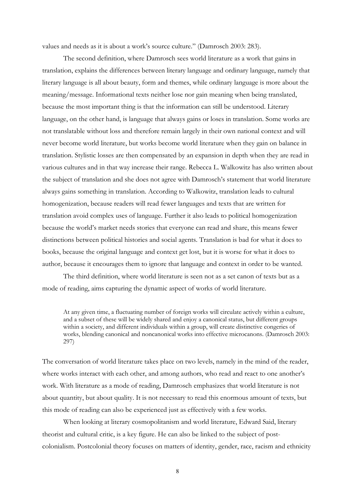values and needs as it is about a work's source culture." (Damrosch 2003: 283).

 The second definition, where Damrosch sees world literature as a work that gains in translation, explains the differences between literary language and ordinary language, namely that literary language is all about beauty, form and themes, while ordinary language is more about the meaning/message. Informational texts neither lose nor gain meaning when being translated, because the most important thing is that the information can still be understood. Literary language, on the other hand, is language that always gains or loses in translation. Some works are not translatable without loss and therefore remain largely in their own national context and will never become world literature, but works become world literature when they gain on balance in translation. Stylistic losses are then compensated by an expansion in depth when they are read in various cultures and in that way increase their range. Rebecca L. Walkowitz has also written about the subject of translation and she does not agree with Damrosch's statement that world literature always gains something in translation. According to Walkowitz, translation leads to cultural homogenization, because readers will read fewer languages and texts that are written for translation avoid complex uses of language. Further it also leads to political homogenization because the world's market needs stories that everyone can read and share, this means fewer distinctions between political histories and social agents. Translation is bad for what it does to books, because the original language and context get lost, but it is worse for what it does to author, because it encourages them to ignore that language and context in order to be wanted.

 The third definition, where world literature is seen not as a set canon of texts but as a mode of reading, aims capturing the dynamic aspect of works of world literature.

At any given time, a fluctuating number of foreign works will circulate actively within a culture, and a subset of these will be widely shared and enjoy a canonical status, but different groups within a society, and different individuals within a group, will create distinctive congeries of works, blending canonical and noncanonical works into effective microcanons. (Damrosch 2003: 297)

The conversation of world literature takes place on two levels, namely in the mind of the reader, where works interact with each other, and among authors, who read and react to one another's work. With literature as a mode of reading, Damrosch emphasizes that world literature is not about quantity, but about quality. It is not necessary to read this enormous amount of texts, but this mode of reading can also be experienced just as effectively with a few works.

 When looking at literary cosmopolitanism and world literature, Edward Said, literary theorist and cultural critic, is a key figure. He can also be linked to the subject of postcolonialism. Postcolonial theory focuses on matters of identity, gender, race, racism and ethnicity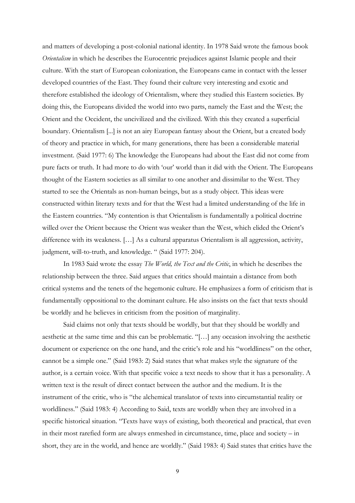and matters of developing a post-colonial national identity. In 1978 Said wrote the famous book Orientalism in which he describes the Eurocentric prejudices against Islamic people and their culture. With the start of European colonization, the Europeans came in contact with the lesser developed countries of the East. They found their culture very interesting and exotic and therefore established the ideology of Orientalism, where they studied this Eastern societies. By doing this, the Europeans divided the world into two parts, namely the East and the West; the Orient and the Occident, the uncivilized and the civilized. With this they created a superficial boundary. Orientalism [...] is not an airy European fantasy about the Orient, but a created body of theory and practice in which, for many generations, there has been a considerable material investment. (Said 1977: 6) The knowledge the Europeans had about the East did not come from pure facts or truth. It had more to do with 'our' world than it did with the Orient. The Europeans thought of the Eastern societies as all similar to one another and dissimilar to the West. They started to see the Orientals as non-human beings, but as a study object. This ideas were constructed within literary texts and for that the West had a limited understanding of the life in the Eastern countries. "My contention is that Orientalism is fundamentally a political doctrine willed over the Orient because the Orient was weaker than the West, which elided the Orient's difference with its weakness. […] As a cultural apparatus Orientalism is all aggression, activity, judgment, will-to-truth, and knowledge. " (Said 1977: 204).

In 1983 Said wrote the essay The World, the Text and the Critic, in which he describes the relationship between the three. Said argues that critics should maintain a distance from both critical systems and the tenets of the hegemonic culture. He emphasizes a form of criticism that is fundamentally oppositional to the dominant culture. He also insists on the fact that texts should be worldly and he believes in criticism from the position of marginality.

 Said claims not only that texts should be worldly, but that they should be worldly and aesthetic at the same time and this can be problematic. "[…] any occasion involving the aesthetic document or experience on the one hand, and the critic's role and his "worldliness" on the other, cannot be a simple one." (Said 1983: 2) Said states that what makes style the signature of the author, is a certain voice. With that specific voice a text needs to show that it has a personality. A written text is the result of direct contact between the author and the medium. It is the instrument of the critic, who is "the alchemical translator of texts into circumstantial reality or worldliness." (Said 1983: 4) According to Said, texts are worldly when they are involved in a specific historical situation. "Texts have ways of existing, both theoretical and practical, that even in their most rarefied form are always enmeshed in circumstance, time, place and society – in short, they are in the world, and hence are worldly." (Said 1983: 4) Said states that critics have the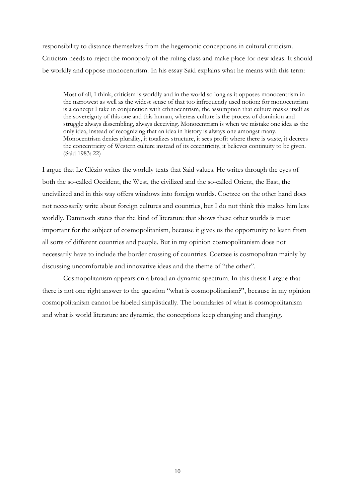responsibility to distance themselves from the hegemonic conceptions in cultural criticism. Criticism needs to reject the monopoly of the ruling class and make place for new ideas. It should be worldly and oppose monocentrism. In his essay Said explains what he means with this term:

Most of all, I think, criticism is worldly and in the world so long as it opposes monocentrism in the narrowest as well as the widest sense of that too infrequently used notion: for monocentrism is a concept I take in conjunction with ethnocentrism, the assumption that culture masks itself as the sovereignty of this one and this human, whereas culture is the process of dominion and struggle always dissembling, always deceiving. Monocentrism is when we mistake one idea as the only idea, instead of recognizing that an idea in history is always one amongst many. Monocentrism denies plurality, it totalizes structure, it sees profit where there is waste, it decrees the concentricity of Western culture instead of its eccentricity, it believes continuity to be given. (Said 1983: 22)

I argue that Le Clézio writes the worldly texts that Said values. He writes through the eyes of both the so-called Occident, the West, the civilized and the so-called Orient, the East, the uncivilized and in this way offers windows into foreign worlds. Coetzee on the other hand does not necessarily write about foreign cultures and countries, but I do not think this makes him less worldly. Damrosch states that the kind of literature that shows these other worlds is most important for the subject of cosmopolitanism, because it gives us the opportunity to learn from all sorts of different countries and people. But in my opinion cosmopolitanism does not necessarily have to include the border crossing of countries. Coetzee is cosmopolitan mainly by discussing uncomfortable and innovative ideas and the theme of "the other".

 Cosmopolitanism appears on a broad an dynamic spectrum. In this thesis I argue that there is not one right answer to the question "what is cosmopolitanism?", because in my opinion cosmopolitanism cannot be labeled simplistically. The boundaries of what is cosmopolitanism and what is world literature are dynamic, the conceptions keep changing and changing.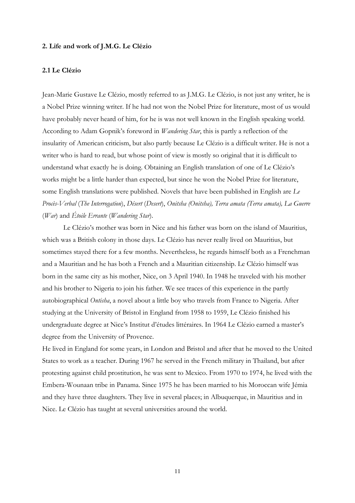#### 2. Life and work of J.M.G. Le Clézio

#### 2.1 Le Clézio

Jean-Marie Gustave Le Clézio, mostly referred to as J.M.G. Le Clézio, is not just any writer, he is a Nobel Prize winning writer. If he had not won the Nobel Prize for literature, most of us would have probably never heard of him, for he is was not well known in the English speaking world. According to Adam Gopnik's foreword in *Wandering Star*, this is partly a reflection of the insularity of American criticism, but also partly because Le Clézio is a difficult writer. He is not a writer who is hard to read, but whose point of view is mostly so original that it is difficult to understand what exactly he is doing. Obtaining an English translation of one of Le Clézio's works might be a little harder than expected, but since he won the Nobel Prize for literature, some English translations were published. Novels that have been published in English are Le Procès-Verbal (The Interrogation), Désert (Desert), Onitsha (Onitsha), Terra amata (Terra amata), La Guerre (War) and Étoile Errante (Wandering Star).

 Le Clézio's mother was born in Nice and his father was born on the island of Mauritius, which was a British colony in those days. Le Clézio has never really lived on Mauritius, but sometimes stayed there for a few months. Nevertheless, he regards himself both as a Frenchman and a Mauritian and he has both a French and a Mauritian citizenship. Le Clézio himself was born in the same city as his mother, Nice, on 3 April 1940. In 1948 he traveled with his mother and his brother to Nigeria to join his father. We see traces of this experience in the partly autobiographical *Ontisha*, a novel about a little boy who travels from France to Nigeria. After studying at the University of Bristol in England from 1958 to 1959, Le Clézio finished his undergraduate degree at Nice's Institut d'études littéraires. In 1964 Le Clézio earned a master's degree from the University of Provence.

He lived in England for some years, in London and Bristol and after that he moved to the United States to work as a teacher. During 1967 he served in the French military in Thailand, but after protesting against child prostitution, he was sent to Mexico. From 1970 to 1974, he lived with the Embera-Wounaan tribe in Panama. Since 1975 he has been married to his Moroccan wife Jémia and they have three daughters. They live in several places; in Albuquerque, in Mauritius and in Nice. Le Clézio has taught at several universities around the world.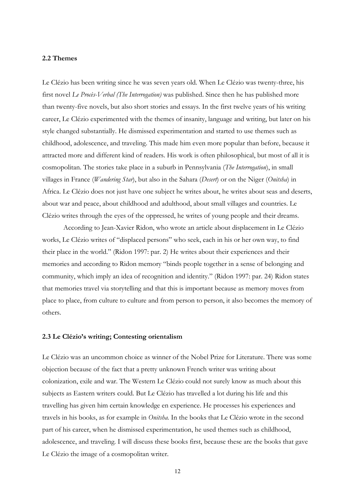### 2.2 Themes

Le Clézio has been writing since he was seven years old. When Le Clézio was twenty-three, his first novel Le Procès-Verbal (The Interrogation) was published. Since then he has published more than twenty-five novels, but also short stories and essays. In the first twelve years of his writing career, Le Clézio experimented with the themes of insanity, language and writing, but later on his style changed substantially. He dismissed experimentation and started to use themes such as childhood, adolescence, and traveling. This made him even more popular than before, because it attracted more and different kind of readers. His work is often philosophical, but most of all it is cosmopolitan. The stories take place in a suburb in Pennsylvania (The Interrogation), in small villages in France (Wandering Star), but also in the Sahara (Desert) or on the Niger (Onitsha) in Africa. Le Clézio does not just have one subject he writes about, he writes about seas and deserts, about war and peace, about childhood and adulthood, about small villages and countries. Le Clézio writes through the eyes of the oppressed, he writes of young people and their dreams.

 According to Jean-Xavier Ridon, who wrote an article about displacement in Le Clézio works, Le Clézio writes of "displaced persons" who seek, each in his or her own way, to find their place in the world." (Ridon 1997: par. 2) He writes about their experiences and their memories and according to Ridon memory "binds people together in a sense of belonging and community, which imply an idea of recognition and identity." (Ridon 1997: par. 24) Ridon states that memories travel via storytelling and that this is important because as memory moves from place to place, from culture to culture and from person to person, it also becomes the memory of others.

### 2.3 Le Clézio's writing; Contesting orientalism

Le Clézio was an uncommon choice as winner of the Nobel Prize for Literature. There was some objection because of the fact that a pretty unknown French writer was writing about colonization, exile and war. The Western Le Clézio could not surely know as much about this subjects as Eastern writers could. But Le Clézio has travelled a lot during his life and this travelling has given him certain knowledge en experience. He processes his experiences and travels in his books, as for example in Onitsha. In the books that Le Clézio wrote in the second part of his career, when he dismissed experimentation, he used themes such as childhood, adolescence, and traveling. I will discuss these books first, because these are the books that gave Le Clézio the image of a cosmopolitan writer.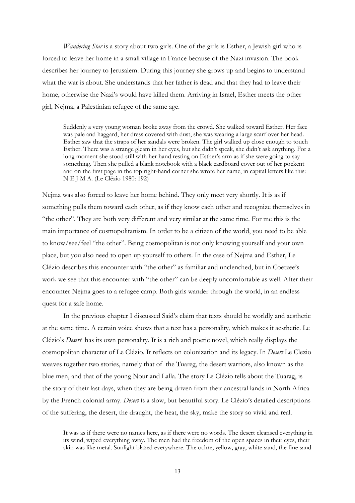Wandering Star is a story about two girls. One of the girls is Esther, a Jewish girl who is forced to leave her home in a small village in France because of the Nazi invasion. The book describes her journey to Jerusalem. During this journey she grows up and begins to understand what the war is about. She understands that her father is dead and that they had to leave their home, otherwise the Nazi's would have killed them. Arriving in Israel, Esther meets the other girl, Nejma, a Palestinian refugee of the same age.

Suddenly a very young woman broke away from the crowd. She walked toward Esther. Her face was pale and haggard, her dress covered with dust, she was wearing a large scarf over her head. Esther saw that the straps of her sandals were broken. The girl walked up close enough to touch Esther. There was a strange gleam in her eyes, but she didn't speak, she didn't ask anything. For a long moment she stood still with her hand resting on Esther's arm as if she were going to say something. Then she pulled a blank notebook with a black cardboard cover out of her pockent and on the first page in the top right-hand corner she wrote her name, in capital letters like this: N E J M A. (Le Clézio 1980: 192)

Nejma was also forced to leave her home behind. They only meet very shortly. It is as if something pulls them toward each other, as if they know each other and recognize themselves in "the other". They are both very different and very similar at the same time. For me this is the main importance of cosmopolitanism. In order to be a citizen of the world, you need to be able to know/see/feel "the other". Being cosmopolitan is not only knowing yourself and your own place, but you also need to open up yourself to others. In the case of Nejma and Esther, Le Clézio describes this encounter with "the other" as familiar and unclenched, but in Coetzee's work we see that this encounter with "the other" can be deeply uncomfortable as well. After their encounter Nejma goes to a refugee camp. Both girls wander through the world, in an endless quest for a safe home.

 In the previous chapter I discussed Said's claim that texts should be worldly and aesthetic at the same time. A certain voice shows that a text has a personality, which makes it aesthetic. Le Clézio's Desert has its own personality. It is a rich and poetic novel, which really displays the cosmopolitan character of Le Clézio. It reflects on colonization and its legacy. In Desert Le Clezio weaves together two stories, namely that of the Tuareg, the desert warriors, also known as the blue men, and that of the young Nour and Lalla. The story Le Clézio tells about the Tuarag, is the story of their last days, when they are being driven from their ancestral lands in North Africa by the French colonial army. Desert is a slow, but beautiful story. Le Clézio's detailed descriptions of the suffering, the desert, the draught, the heat, the sky, make the story so vivid and real.

It was as if there were no names here, as if there were no words. The desert cleansed everything in its wind, wiped everything away. The men had the freedom of the open spaces in their eyes, their skin was like metal. Sunlight blazed everywhere. The ochre, yellow, gray, white sand, the fine sand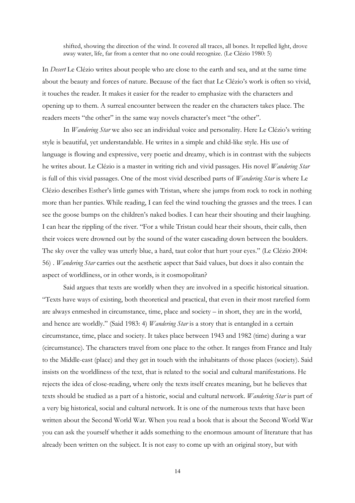shifted, showing the direction of the wind. It covered all traces, all bones. It repelled light, drove away water, life, far from a center that no one could recognize. (Le Clézio 1980: 5)

In Desert Le Clézio writes about people who are close to the earth and sea, and at the same time about the beauty and forces of nature. Because of the fact that Le Clézio's work is often so vivid, it touches the reader. It makes it easier for the reader to emphasize with the characters and opening up to them. A surreal encounter between the reader en the characters takes place. The readers meets "the other" in the same way novels character's meet "the other".

 In Wandering Star we also see an individual voice and personality. Here Le Clézio's writing style is beautiful, yet understandable. He writes in a simple and child-like style. His use of language is flowing and expressive, very poetic and dreamy, which is in contrast with the subjects he writes about. Le Clézio is a master in writing rich and vivid passages. His novel Wandering Star is full of this vivid passages. One of the most vivid described parts of *Wandering Star* is where Le Clézio describes Esther's little games with Tristan, where she jumps from rock to rock in nothing more than her panties. While reading, I can feel the wind touching the grasses and the trees. I can see the goose bumps on the children's naked bodies. I can hear their shouting and their laughing. I can hear the rippling of the river. "For a while Tristan could hear their shouts, their calls, then their voices were drowned out by the sound of the water cascading down between the boulders. The sky over the valley was utterly blue, a hard, taut color that hurt your eyes." (Le Clézio 2004: 56) . Wandering Star carries out the aesthetic aspect that Said values, but does it also contain the aspect of worldliness, or in other words, is it cosmopolitan?

 Said argues that texts are worldly when they are involved in a specific historical situation. "Texts have ways of existing, both theoretical and practical, that even in their most rarefied form are always enmeshed in circumstance, time, place and society – in short, they are in the world, and hence are worldly." (Said 1983: 4) *Wandering Star* is a story that is entangled in a certain circumstance, time, place and society. It takes place between 1943 and 1982 (time) during a war (circumstance). The characters travel from one place to the other. It ranges from France and Italy to the Middle-east (place) and they get in touch with the inhabitants of those places (society). Said insists on the worldliness of the text, that is related to the social and cultural manifestations. He rejects the idea of close-reading, where only the texts itself creates meaning, but he believes that texts should be studied as a part of a historic, social and cultural network. Wandering Star is part of a very big historical, social and cultural network. It is one of the numerous texts that have been written about the Second World War. When you read a book that is about the Second World War you can ask the yourself whether it adds something to the enormous amount of literature that has already been written on the subject. It is not easy to come up with an original story, but with

14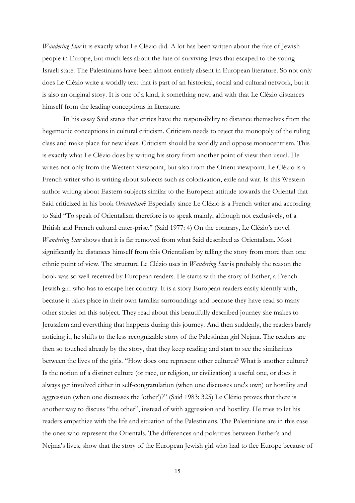Wandering Star it is exactly what Le Clézio did. A lot has been written about the fate of Jewish people in Europe, but much less about the fate of surviving Jews that escaped to the young Israeli state. The Palestinians have been almost entirely absent in European literature. So not only does Le Clézio write a worldly text that is part of an historical, social and cultural network, but it is also an original story. It is one of a kind, it something new, and with that Le Clézio distances himself from the leading conceptions in literature.

 In his essay Said states that critics have the responsibility to distance themselves from the hegemonic conceptions in cultural criticism. Criticism needs to reject the monopoly of the ruling class and make place for new ideas. Criticism should be worldly and oppose monocentrism. This is exactly what Le Clézio does by writing his story from another point of view than usual. He writes not only from the Western viewpoint, but also from the Orient viewpoint. Le Clézio is a French writer who is writing about subjects such as colonization, exile and war. Is this Western author writing about Eastern subjects similar to the European attitude towards the Oriental that Said criticized in his book Orientalism? Especially since Le Clézio is a French writer and according to Said "To speak of Orientalism therefore is to speak mainly, although not exclusively, of a British and French cultural enter-prise." (Said 1977: 4) On the contrary, Le Clézio's novel Wandering Star shows that it is far removed from what Said described as Orientalism. Most significantly he distances himself from this Orientalism by telling the story from more than one ethnic point of view. The structure Le Clézio uses in *Wandering Star* is probably the reason the book was so well received by European readers. He starts with the story of Esther, a French Jewish girl who has to escape her country. It is a story European readers easily identify with, because it takes place in their own familiar surroundings and because they have read so many other stories on this subject. They read about this beautifully described journey she makes to Jerusalem and everything that happens during this journey. And then suddenly, the readers barely noticing it, he shifts to the less recognizable story of the Palestinian girl Nejma. The readers are then so touched already by the story, that they keep reading and start to see the similarities between the lives of the girls. "How does one represent other cultures? What is another culture? Is the notion of a distinct culture (or race, or religion, or civilization) a useful one, or does it always get involved either in self-congratulation (when one discusses one's own) or hostility and aggression (when one discusses the 'other')?" (Said 1983: 325) Le Clézio proves that there is another way to discuss "the other", instead of with aggression and hostility. He tries to let his readers empathize with the life and situation of the Palestinians. The Palestinians are in this case the ones who represent the Orientals. The differences and polarities between Esther's and Nejma's lives, show that the story of the European Jewish girl who had to flee Europe because of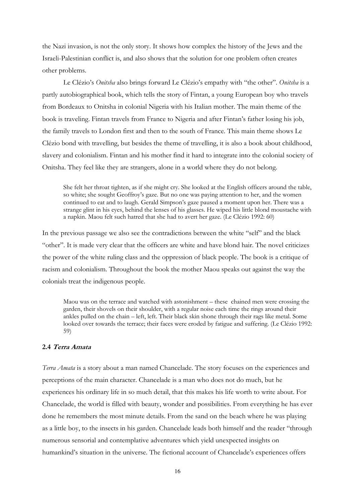the Nazi invasion, is not the only story. It shows how complex the history of the Jews and the Israeli-Palestinian conflict is, and also shows that the solution for one problem often creates other problems.

 Le Clézio's Onitsha also brings forward Le Clézio's empathy with "the other". Onitsha is a partly autobiographical book, which tells the story of Fintan, a young European boy who travels from Bordeaux to Onitsha in colonial Nigeria with his Italian mother. The main theme of the book is traveling. Fintan travels from France to Nigeria and after Fintan's father losing his job, the family travels to London first and then to the south of France. This main theme shows Le Clézio bond with travelling, but besides the theme of travelling, it is also a book about childhood, slavery and colonialism. Fintan and his mother find it hard to integrate into the colonial society of Onitsha. They feel like they are strangers, alone in a world where they do not belong.

She felt her throat tighten, as if she might cry. She looked at the English officers around the table, so white; she sought Geoffroy's gaze. But no one was paying attention to her, and the women continued to eat and to laugh. Gerald Simpson's gaze paused a moment upon her. There was a strange glint in his eyes, behind the lenses of his glasses. He wiped his little blond moustache with a napkin. Maou felt such hatred that she had to avert her gaze. (Le Clézio 1992: 60)

In the previous passage we also see the contradictions between the white "self" and the black "other". It is made very clear that the officers are white and have blond hair. The novel criticizes the power of the white ruling class and the oppression of black people. The book is a critique of racism and colonialism. Throughout the book the mother Maou speaks out against the way the colonials treat the indigenous people.

Maou was on the terrace and watched with astonishment – these chained men were crossing the garden, their shovels on their shoulder, with a regular noise each time the rings around their ankles pulled on the chain – left, left. Their black skin shone through their rags like metal. Some looked over towards the terrace; their faces were eroded by fatigue and suffering. (Le Clézio 1992: 59)

## 2.4 Terra Amata

Terra Amata is a story about a man named Chancelade. The story focuses on the experiences and perceptions of the main character. Chancelade is a man who does not do much, but he experiences his ordinary life in so much detail, that this makes his life worth to write about. For Chancelade, the world is filled with beauty, wonder and possibilities. From everything he has ever done he remembers the most minute details. From the sand on the beach where he was playing as a little boy, to the insects in his garden. Chancelade leads both himself and the reader "through numerous sensorial and contemplative adventures which yield unexpected insights on humankind's situation in the universe. The fictional account of Chancelade's experiences offers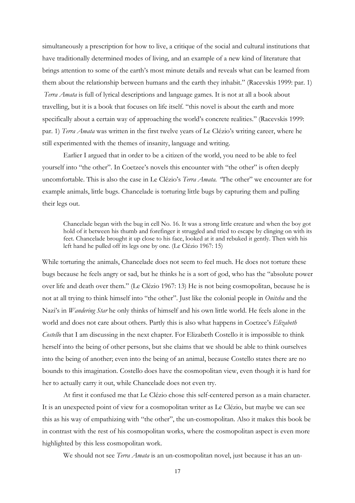simultaneously a prescription for how to live, a critique of the social and cultural institutions that have traditionally determined modes of living, and an example of a new kind of literature that brings attention to some of the earth's most minute details and reveals what can be learned from them about the relationship between humans and the earth they inhabit." (Racevskis 1999: par. 1) Terra Amata is full of lyrical descriptions and language games. It is not at all a book about travelling, but it is a book that focuses on life itself. "this novel is about the earth and more specifically about a certain way of approaching the world's concrete realities." (Racevskis 1999: par. 1) Terra Amata was written in the first twelve years of Le Clézio's writing career, where he still experimented with the themes of insanity, language and writing.

 Earlier I argued that in order to be a citizen of the world, you need to be able to feel yourself into "the other". In Coetzee's novels this encounter with "the other" is often deeply uncomfortable. This is also the case in Le Clézio's *Terra Amata*. "The other" we encounter are for example animals, little bugs. Chancelade is torturing little bugs by capturing them and pulling their legs out.

Chancelade began with the bug in cell No. 16. It was a strong little creature and when the boy got hold of it between his thumb and forefinger it struggled and tried to escape by clinging on with its feet. Chancelade brought it up close to his face, looked at it and rebuked it gently. Then with his left hand he pulled off its legs one by one. (Le Clézio 1967: 15)

While torturing the animals, Chancelade does not seem to feel much. He does not torture these bugs because he feels angry or sad, but he thinks he is a sort of god, who has the "absolute power over life and death over them." (Le Clézio 1967: 13) He is not being cosmopolitan, because he is not at all trying to think himself into "the other". Just like the colonial people in Onitsha and the Nazi's in Wandering Star he only thinks of himself and his own little world. He feels alone in the world and does not care about others. Partly this is also what happens in Coetzee's Elizabeth Costello that I am discussing in the next chapter. For Elizabeth Costello it is impossible to think herself into the being of other persons, but she claims that we should be able to think ourselves into the being of another; even into the being of an animal, because Costello states there are no bounds to this imagination. Costello does have the cosmopolitan view, even though it is hard for her to actually carry it out, while Chancelade does not even try.

 At first it confused me that Le Clézio chose this self-centered person as a main character. It is an unexpected point of view for a cosmopolitan writer as Le Clézio, but maybe we can see this as his way of empathizing with "the other", the un-cosmopolitan. Also it makes this book be in contrast with the rest of his cosmopolitan works, where the cosmopolitan aspect is even more highlighted by this less cosmopolitan work.

We should not see *Terra Amata* is an un-cosmopolitan novel, just because it has an un-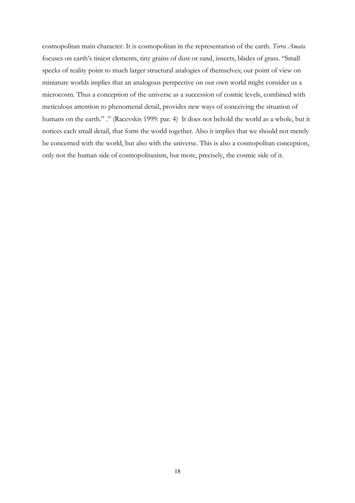cosmopolitan main character. It is cosmopolitan in the representation of the earth. Terra Amata focuses on earth's tiniest elements, tiny grains of dust or sand, insects, blades of grass. "Small specks of reality point to much larger structural analogies of themselves; our point of view on miniature worlds implies that an analogous perspective on our own world might consider us a microcosm. Thus a conception of the universe as a succession of cosmic levels, combined with meticulous attention to phenomenal detail, provides new ways of conceiving the situation of humans on the earth." ." (Racevskis 1999: par. 4) It does not behold the world as a whole, but it notices each small detail, that form the world together. Also it implies that we should not merely be concerned with the world, but also with the universe. This is also a cosmopolitan conception, only not the human side of cosmopolitanism, but more, precisely, the cosmic side of it.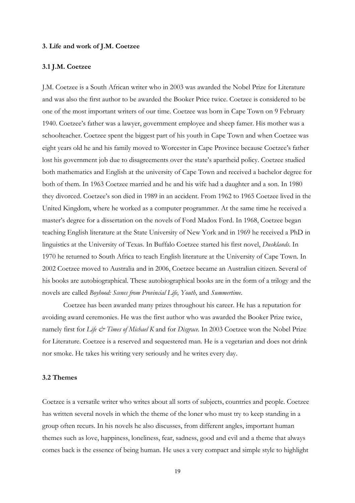#### 3. Life and work of J.M. Coetzee

### 3.1 J.M. Coetzee

J.M. Coetzee is a South African writer who in 2003 was awarded the Nobel Prize for Literature and was also the first author to be awarded the Booker Price twice. Coetzee is considered to be one of the most important writers of our time. Coetzee was born in Cape Town on 9 February 1940. Coetzee's father was a lawyer, government employee and sheep famer. His mother was a schoolteacher. Coetzee spent the biggest part of his youth in Cape Town and when Coetzee was eight years old he and his family moved to Worcester in Cape Province because Coetzee's father lost his government job due to disagreements over the state's apartheid policy. Coetzee studied both mathematics and English at the university of Cape Town and received a bachelor degree for both of them. In 1963 Coetzee married and he and his wife had a daughter and a son. In 1980 they divorced. Coetzee's son died in 1989 in an accident. From 1962 to 1965 Coetzee lived in the United Kingdom, where he worked as a computer programmer. At the same time he received a master's degree for a dissertation on the novels of Ford Madox Ford. In 1968, Coetzee began teaching English literature at the State University of New York and in 1969 he received a PhD in linguistics at the University of Texas. In Buffalo Coetzee started his first novel, Dusklands. In 1970 he returned to South Africa to teach English literature at the University of Cape Town. In 2002 Coetzee moved to Australia and in 2006, Coetzee became an Australian citizen. Several of his books are autobiographical. These autobiographical books are in the form of a trilogy and the novels are called Boyhood: Scenes from Provincial Life, Youth, and Summertime.

 Coetzee has been awarded many prizes throughout his career. He has a reputation for avoiding award ceremonies. He was the first author who was awarded the Booker Prize twice, namely first for Life & Times of Michael K and for Disgrace. In 2003 Coetzee won the Nobel Prize for Literature. Coetzee is a reserved and sequestered man. He is a vegetarian and does not drink nor smoke. He takes his writing very seriously and he writes every day.

## 3.2 Themes

Coetzee is a versatile writer who writes about all sorts of subjects, countries and people. Coetzee has written several novels in which the theme of the loner who must try to keep standing in a group often recurs. In his novels he also discusses, from different angles, important human themes such as love, happiness, loneliness, fear, sadness, good and evil and a theme that always comes back is the essence of being human. He uses a very compact and simple style to highlight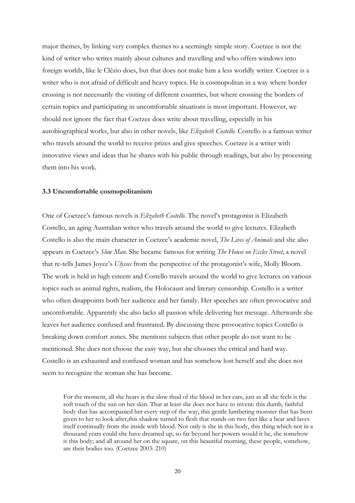major themes, by linking very complex themes to a seemingly simple story. Coetzee is not the kind of writer who writes mainly about cultures and travelling and who offers windows into foreign worlds, like le Clézio does, but that does not make him a less worldly writer. Coetzee is a writer who is not afraid of difficult and heavy topics. He is cosmopolitan in a way where border crossing is not necessarily the visiting of different countries, but where crossing the borders of certain topics and participating in uncomfortable situations is most important. However, we should not ignore the fact that Coetzee does write about travelling, especially in his autobiographical works, but also in other novels, like *Elizabeth Costello*. Costello is a famous writer who travels around the world to receive prizes and give speeches. Coetzee is a writer with innovative views and ideas that he shares with his public through readings, but also by processing them into his work.

#### 3.3 Uncomfortable cosmopolitanism

One of Coetzee's famous novels is Elizabeth Costello. The novel's protagonist is Elizabeth Costello, an aging Australian writer who travels around the world to give lectures. Elizabeth Costello is also the main character in Coetzee's academic novel, *The Lives of Animals* and she also appears in Coetzee's Slow Man. She became famous for writing The House on Eccles Street, a novel that re-tells James Joyce's Ulysses from the perspective of the protagonist's wife, Molly Bloom. The work is held in high esteem and Costello travels around the world to give lectures on various topics such as animal rights, realism, the Holocaust and literary censorship. Costello is a writer who often disappoints both her audience and her family. Her speeches are often provocative and uncomfortable. Apparently she also lacks all passion while delivering her message. Afterwards she leaves her audience confused and frustrated. By discussing these provocative topics Costello is breaking down comfort zones. She mentions subjects that other people do not want to be mentioned. She does not choose the easy way, but she chooses the critical and hard way. Costello is an exhausted and confused woman and has somehow lost herself and she does not seem to recognize the woman she has become.

For the moment, all she hears is the slow thud of the blood in her ears, just as all she feels is the soft touch of the sun on her skin. That at least she does not have to invent: this dumb, faithful body that has accompanied her every step of the way, this gentle lumbering monster that has been given to her to look after,this shadow turned to flesh that stands on two feet like a bear and laves itself continually from the inside with blood. Not only is she in this body, this thing which not in a thousand years could she have dreamed up, so far beyond her powers would it be, she somehow is this body; and all around her on the square, on this beautiful morning, these people, somehow, are their bodies too. (Coetzee 2003: 210)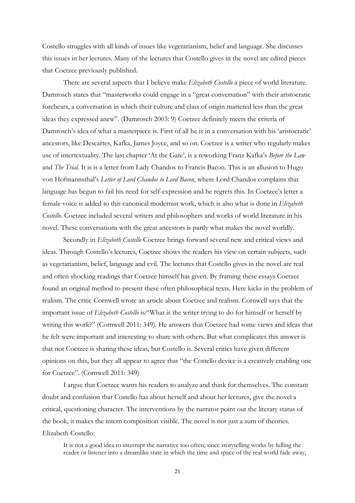Costello struggles with all kinds of issues like vegetarianism, belief and language. She discusses this issues in her lectures. Many of the lectures that Costello gives in the novel are edited pieces that Coetzee previously published.

There are several aspects that I believe make *Elizabeth Costello* a piece of world literature. Damrosch states that "masterworks could engage in a "great conversation" with their aristocratic forebears, a conversation in which their culture and class of origin mattered less than the great ideas they expressed anew". (Damrosch 2003: 9) Coetzee definitely meets the criteria of Damrosch's idea of what a masterpiece is. First of all he is in a conversation with his 'aristocratic' ancestors, like Descartes, Kafka, James Joyce, and so on. Coetzee is a writer who regularly makes use of intertextuality. The last chapter 'At the Gate', is a reworking Franz Kafka's Before the Law and *The Trial*. It is is a letter from Lady Chandos to Francis Bacon. This is an allusion to Hugo von Hofmannsthal's Letter of Lord Chandos to Lord Bacon, where Lord Chandos complains that language has begun to fail his need for self-expression and he regrets this. In Coetzee's letter a female voice is added to this canonical modernist work, which is also what is done in Elizabeth Costello. Coetzee included several writers and philosophers and works of world literature in his novel. These conversations with the great ancestors is partly what makes the novel worldly.

Secondly in *Elizabeth Costello* Coetzee brings forward several new and critical views and ideas. Through Costello's lectures, Coetzee shows the readers his view on certain subjects, such as vegetarianism, belief, language and evil. The lectures that Costello gives in the novel are real and often shocking readings that Coetzee himself has given. By framing these essays Coetzee found an original method to present these often philosophical texts. Here kicks in the problem of realism. The critic Cornwell wrote an article about Coetzee and realism. Cornwell says that the important issue of Elizabeth Costello is: "What is the writer trying to do for himself or herself by writing this work?" (Cornwell 2011: 349). He answers that Coetzee had some views and ideas that he felt were important and interesting to share with others. But what complicates this answer is that not Coetzee is sharing these ideas, but Costello is. Several critics have given different opinions on this, but they all appear to agree that "the Costello device is a creatively enabling one for Coetzee". (Cornwell 2011: 349)

 I argue that Coetzee wants his readers to analyze and think for themselves. The constant doubt and confusion that Costello has about herself and about her lectures, give the novel a critical, questioning character. The interventions by the narrator point out the literary status of the book, it makes the intern composition visible. The novel is not just a sum of theories. Elizabeth Costello:

It is not a good idea to interrupt the narrative too often, since storytelling works by lulling the reader or listener into a dreamlike state in which the time and space of the real world fade away,

21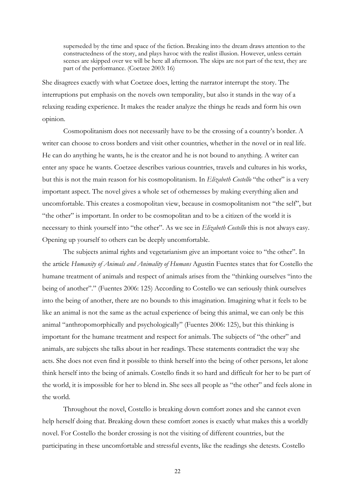superseded by the time and space of the fiction. Breaking into the dream draws attention to the constructedness of the story, and plays havoc with the realist illusion. However, unless certain scenes are skipped over we will be here all afternoon. The skips are not part of the text, they are part of the performance. (Coetzee 2003: 16)

She disagrees exactly with what Coetzee does, letting the narrator interrupt the story. The interruptions put emphasis on the novels own temporality, but also it stands in the way of a relaxing reading experience. It makes the reader analyze the things he reads and form his own opinion.

 Cosmopolitanism does not necessarily have to be the crossing of a country's border. A writer can choose to cross borders and visit other countries, whether in the novel or in real life. He can do anything he wants, he is the creator and he is not bound to anything. A writer can enter any space he wants. Coetzee describes various countries, travels and cultures in his works, but this is not the main reason for his cosmopolitanism. In Elizabeth Costello "the other" is a very important aspect. The novel gives a whole set of othernesses by making everything alien and uncomfortable. This creates a cosmopolitan view, because in cosmopolitanism not "the self", but "the other" is important. In order to be cosmopolitan and to be a citizen of the world it is necessary to think yourself into "the other". As we see in *Elizabeth Costello* this is not always easy. Opening up yourself to others can be deeply uncomfortable.

 The subjects animal rights and vegetarianism give an important voice to "the other". In the article Humanity of Animals and Animality of Humans Agustin Fuentes states that for Costello the humane treatment of animals and respect of animals arises from the "thinking ourselves "into the being of another"." (Fuentes 2006: 125) According to Costello we can seriously think ourselves into the being of another, there are no bounds to this imagination. Imagining what it feels to be like an animal is not the same as the actual experience of being this animal, we can only be this animal "anthropomorphically and psychologically" (Fuentes 2006: 125), but this thinking is important for the humane treatment and respect for animals. The subjects of "the other" and animals, are subjects she talks about in her readings. These statements contradict the way she acts. She does not even find it possible to think herself into the being of other persons, let alone think herself into the being of animals. Costello finds it so hard and difficult for her to be part of the world, it is impossible for her to blend in. She sees all people as "the other" and feels alone in the world.

 Throughout the novel, Costello is breaking down comfort zones and she cannot even help herself doing that. Breaking down these comfort zones is exactly what makes this a worldly novel. For Costello the border crossing is not the visiting of different countries, but the participating in these uncomfortable and stressful events, like the readings she detests. Costello

22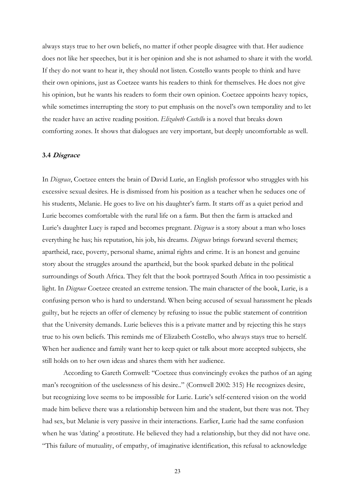always stays true to her own beliefs, no matter if other people disagree with that. Her audience does not like her speeches, but it is her opinion and she is not ashamed to share it with the world. If they do not want to hear it, they should not listen. Costello wants people to think and have their own opinions, just as Coetzee wants his readers to think for themselves. He does not give his opinion, but he wants his readers to form their own opinion. Coetzee appoints heavy topics, while sometimes interrupting the story to put emphasis on the novel's own temporality and to let the reader have an active reading position. Elizabeth Costello is a novel that breaks down comforting zones. It shows that dialogues are very important, but deeply uncomfortable as well.

### 3.4 Disgrace

In Disgrace, Coetzee enters the brain of David Lurie, an English professor who struggles with his excessive sexual desires. He is dismissed from his position as a teacher when he seduces one of his students, Melanie. He goes to live on his daughter's farm. It starts off as a quiet period and Lurie becomes comfortable with the rural life on a farm. But then the farm is attacked and Lurie's daughter Lucy is raped and becomes pregnant. *Disgrace* is a story about a man who loses everything he has; his reputation, his job, his dreams. *Disgrace* brings forward several themes; apartheid, race, poverty, personal shame, animal rights and crime. It is an honest and genuine story about the struggles around the apartheid, but the book sparked debate in the political surroundings of South Africa. They felt that the book portrayed South Africa in too pessimistic a light. In *Disgrace* Coetzee created an extreme tension. The main character of the book, Lurie, is a confusing person who is hard to understand. When being accused of sexual harassment he pleads guilty, but he rejects an offer of clemency by refusing to issue the public statement of contrition that the University demands. Lurie believes this is a private matter and by rejecting this he stays true to his own beliefs. This reminds me of Elizabeth Costello, who always stays true to herself. When her audience and family want her to keep quiet or talk about more accepted subjects, she still holds on to her own ideas and shares them with her audience.

 According to Gareth Cornwell: "Coetzee thus convincingly evokes the pathos of an aging man's recognition of the uselessness of his desire.." (Cornwell 2002: 315) He recognizes desire, but recognizing love seems to be impossible for Lurie. Lurie's self-centered vision on the world made him believe there was a relationship between him and the student, but there was not. They had sex, but Melanie is very passive in their interactions. Earlier, Lurie had the same confusion when he was 'dating' a prostitute. He believed they had a relationship, but they did not have one. "This failure of mutuality, of empathy, of imaginative identification, this refusal to acknowledge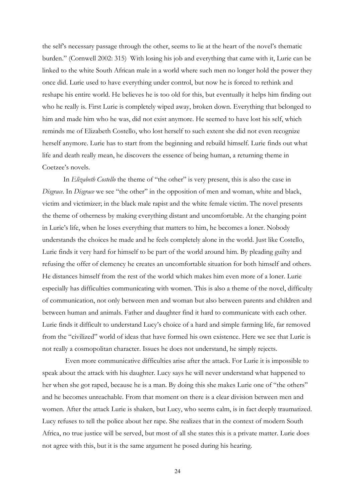the self's necessary passage through the other, seems to lie at the heart of the novel's thematic burden." (Cornwell 2002: 315) With losing his job and everything that came with it, Lurie can be linked to the white South African male in a world where such men no longer hold the power they once did. Lurie used to have everything under control, but now he is forced to rethink and reshape his entire world. He believes he is too old for this, but eventually it helps him finding out who he really is. First Lurie is completely wiped away, broken down. Everything that belonged to him and made him who he was, did not exist anymore. He seemed to have lost his self, which reminds me of Elizabeth Costello, who lost herself to such extent she did not even recognize herself anymore. Lurie has to start from the beginning and rebuild himself. Lurie finds out what life and death really mean, he discovers the essence of being human, a returning theme in Coetzee's novels.

In Elizabeth Costello the theme of "the other" is very present, this is also the case in Disgrace. In Disgrace we see "the other" in the opposition of men and woman, white and black, victim and victimizer; in the black male rapist and the white female victim. The novel presents the theme of otherness by making everything distant and uncomfortable. At the changing point in Lurie's life, when he loses everything that matters to him, he becomes a loner. Nobody understands the choices he made and he feels completely alone in the world. Just like Costello, Lurie finds it very hard for himself to be part of the world around him. By pleading guilty and refusing the offer of clemency he creates an uncomfortable situation for both himself and others. He distances himself from the rest of the world which makes him even more of a loner. Lurie especially has difficulties communicating with women. This is also a theme of the novel, difficulty of communication, not only between men and woman but also between parents and children and between human and animals. Father and daughter find it hard to communicate with each other. Lurie finds it difficult to understand Lucy's choice of a hard and simple farming life, far removed from the "civilized" world of ideas that have formed his own existence. Here we see that Lurie is not really a cosmopolitan character. Issues he does not understand, he simply rejects.

 Even more communicative difficulties arise after the attack. For Lurie it is impossible to speak about the attack with his daughter. Lucy says he will never understand what happened to her when she got raped, because he is a man. By doing this she makes Lurie one of "the others" and he becomes unreachable. From that moment on there is a clear division between men and women. After the attack Lurie is shaken, but Lucy, who seems calm, is in fact deeply traumatized. Lucy refuses to tell the police about her rape. She realizes that in the context of modern South Africa, no true justice will be served, but most of all she states this is a private matter. Lurie does not agree with this, but it is the same argument he posed during his hearing.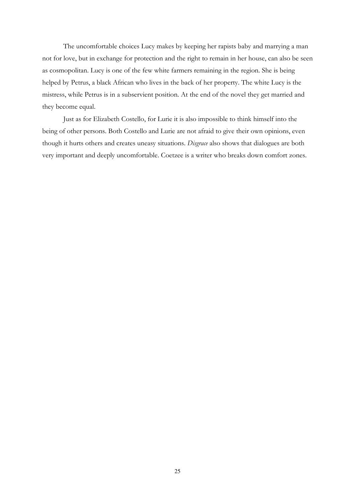The uncomfortable choices Lucy makes by keeping her rapists baby and marrying a man not for love, but in exchange for protection and the right to remain in her house, can also be seen as cosmopolitan. Lucy is one of the few white farmers remaining in the region. She is being helped by Petrus, a black African who lives in the back of her property. The white Lucy is the mistress, while Petrus is in a subservient position. At the end of the novel they get married and they become equal.

 Just as for Elizabeth Costello, for Lurie it is also impossible to think himself into the being of other persons. Both Costello and Lurie are not afraid to give their own opinions, even though it hurts others and creates uneasy situations. Disgrace also shows that dialogues are both very important and deeply uncomfortable. Coetzee is a writer who breaks down comfort zones.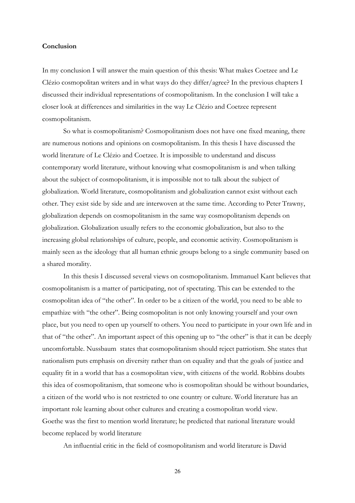## Conclusion

In my conclusion I will answer the main question of this thesis: What makes Coetzee and Le Clézio cosmopolitan writers and in what ways do they differ/agree? In the previous chapters I discussed their individual representations of cosmopolitanism. In the conclusion I will take a closer look at differences and similarities in the way Le Clézio and Coetzee represent cosmopolitanism.

 So what is cosmopolitanism? Cosmopolitanism does not have one fixed meaning, there are numerous notions and opinions on cosmopolitanism. In this thesis I have discussed the world literature of Le Clézio and Coetzee. It is impossible to understand and discuss contemporary world literature, without knowing what cosmopolitanism is and when talking about the subject of cosmopolitanism, it is impossible not to talk about the subject of globalization. World literature, cosmopolitanism and globalization cannot exist without each other. They exist side by side and are interwoven at the same time. According to Peter Trawny, globalization depends on cosmopolitanism in the same way cosmopolitanism depends on globalization. Globalization usually refers to the economic globalization, but also to the increasing global relationships of culture, people, and economic activity. Cosmopolitanism is mainly seen as the ideology that all human ethnic groups belong to a single community based on a shared morality.

 In this thesis I discussed several views on cosmopolitanism. Immanuel Kant believes that cosmopolitanism is a matter of participating, not of spectating. This can be extended to the cosmopolitan idea of "the other". In order to be a citizen of the world, you need to be able to empathize with "the other". Being cosmopolitan is not only knowing yourself and your own place, but you need to open up yourself to others. You need to participate in your own life and in that of "the other". An important aspect of this opening up to "the other" is that it can be deeply uncomfortable. Nussbaum states that cosmopolitanism should reject patriotism. She states that nationalism puts emphasis on diversity rather than on equality and that the goals of justice and equality fit in a world that has a cosmopolitan view, with citizens of the world. Robbins doubts this idea of cosmopolitanism, that someone who is cosmopolitan should be without boundaries, a citizen of the world who is not restricted to one country or culture. World literature has an important role learning about other cultures and creating a cosmopolitan world view. Goethe was the first to mention world literature; he predicted that national literature would become replaced by world literature

An influential critic in the field of cosmopolitanism and world literature is David

26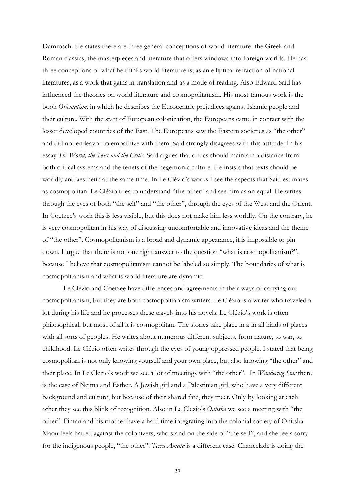Damrosch. He states there are three general conceptions of world literature: the Greek and Roman classics, the masterpieces and literature that offers windows into foreign worlds. He has three conceptions of what he thinks world literature is; as an elliptical refraction of national literatures, as a work that gains in translation and as a mode of reading. Also Edward Said has influenced the theories on world literature and cosmopolitanism. His most famous work is the book Orientalism, in which he describes the Eurocentric prejudices against Islamic people and their culture. With the start of European colonization, the Europeans came in contact with the lesser developed countries of the East. The Europeans saw the Eastern societies as "the other" and did not endeavor to empathize with them. Said strongly disagrees with this attitude. In his essay The World, the Text and the Critic Said argues that critics should maintain a distance from both critical systems and the tenets of the hegemonic culture. He insists that texts should be worldly and aesthetic at the same time. In Le Clézio's works I see the aspects that Said estimates as cosmopolitan. Le Clézio tries to understand "the other" and see him as an equal. He writes through the eyes of both "the self" and "the other", through the eyes of the West and the Orient. In Coetzee's work this is less visible, but this does not make him less worldly. On the contrary, he is very cosmopolitan in his way of discussing uncomfortable and innovative ideas and the theme of "the other". Cosmopolitanism is a broad and dynamic appearance, it is impossible to pin down. I argue that there is not one right answer to the question "what is cosmopolitanism?", because I believe that cosmopolitanism cannot be labeled so simply. The boundaries of what is cosmopolitanism and what is world literature are dynamic.

 Le Clézio and Coetzee have differences and agreements in their ways of carrying out cosmopolitanism, but they are both cosmopolitanism writers. Le Clézio is a writer who traveled a lot during his life and he processes these travels into his novels. Le Clézio's work is often philosophical, but most of all it is cosmopolitan. The stories take place in a in all kinds of places with all sorts of peoples. He writes about numerous different subjects, from nature, to war, to childhood. Le Clézio often writes through the eyes of young oppressed people. I stated that being cosmopolitan is not only knowing yourself and your own place, but also knowing "the other" and their place. In Le Clezio's work we see a lot of meetings with "the other". In *Wandering Star* there is the case of Nejma and Esther. A Jewish girl and a Palestinian girl, who have a very different background and culture, but because of their shared fate, they meet. Only by looking at each other they see this blink of recognition. Also in Le Clezio's Ontisha we see a meeting with "the other". Fintan and his mother have a hard time integrating into the colonial society of Onitsha. Maou feels hatred against the colonizers, who stand on the side of "the self", and she feels sorry for the indigenous people, "the other". Terra Amata is a different case. Chancelade is doing the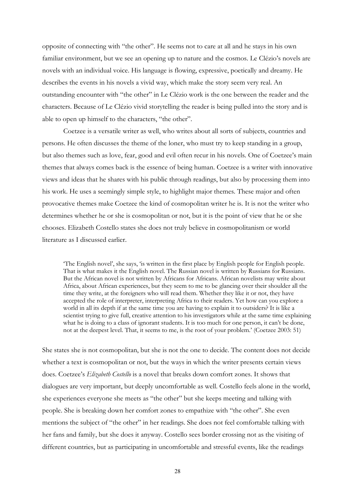opposite of connecting with "the other". He seems not to care at all and he stays in his own familiar environment, but we see an opening up to nature and the cosmos. Le Clézio's novels are novels with an individual voice. His language is flowing, expressive, poetically and dreamy. He describes the events in his novels a vivid way, which make the story seem very real. An outstanding encounter with "the other" in Le Clézio work is the one between the reader and the characters. Because of Le Clézio vivid storytelling the reader is being pulled into the story and is able to open up himself to the characters, "the other".

 Coetzee is a versatile writer as well, who writes about all sorts of subjects, countries and persons. He often discusses the theme of the loner, who must try to keep standing in a group, but also themes such as love, fear, good and evil often recur in his novels. One of Coetzee's main themes that always comes back is the essence of being human. Coetzee is a writer with innovative views and ideas that he shares with his public through readings, but also by processing them into his work. He uses a seemingly simple style, to highlight major themes. These major and often provocative themes make Coetzee the kind of cosmopolitan writer he is. It is not the writer who determines whether he or she is cosmopolitan or not, but it is the point of view that he or she chooses. Elizabeth Costello states she does not truly believe in cosmopolitanism or world literature as I discussed earlier.

'The English novel', she says, 'is written in the first place by English people for English people. That is what makes it the English novel. The Russian novel is written by Russians for Russians. But the African novel is not written by Africans for Africans. African novelists may write about Africa, about African experiences, but they seem to me to be glancing over their shoulder all the time they write, at the foreigners who will read them. Whether they like it or not, they have accepted the role of interpreter, interpreting Africa to their readers. Yet how can you explore a world in all its depth if at the same time you are having to explain it to outsiders? It is like a scientist trying to give full, creative attention to his investigators while at the same time explaining what he is doing to a class of ignorant students. It is too much for one person, it can't be done, not at the deepest level. That, it seems to me, is the root of your problem.' (Coetzee 2003: 51)

She states she is not cosmopolitan, but she is not the one to decide. The content does not decide whether a text is cosmopolitan or not, but the ways in which the writer presents certain views does. Coetzee's Elizabeth Costello is a novel that breaks down comfort zones. It shows that dialogues are very important, but deeply uncomfortable as well. Costello feels alone in the world, she experiences everyone she meets as "the other" but she keeps meeting and talking with people. She is breaking down her comfort zones to empathize with "the other". She even mentions the subject of "the other" in her readings. She does not feel comfortable talking with her fans and family, but she does it anyway. Costello sees border crossing not as the visiting of different countries, but as participating in uncomfortable and stressful events, like the readings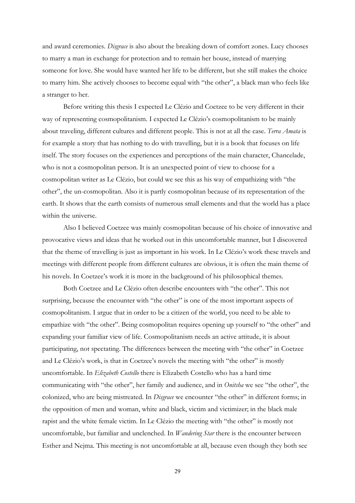and award ceremonies. Disgrace is also about the breaking down of comfort zones. Lucy chooses to marry a man in exchange for protection and to remain her house, instead of marrying someone for love. She would have wanted her life to be different, but she still makes the choice to marry him. She actively chooses to become equal with "the other", a black man who feels like a stranger to her.

 Before writing this thesis I expected Le Clézio and Coetzee to be very different in their way of representing cosmopolitanism. I expected Le Clézio's cosmopolitanism to be mainly about traveling, different cultures and different people. This is not at all the case. Terra Amata is for example a story that has nothing to do with travelling, but it is a book that focuses on life itself. The story focuses on the experiences and perceptions of the main character, Chancelade, who is not a cosmopolitan person. It is an unexpected point of view to choose for a cosmopolitan writer as Le Clézio, but could we see this as his way of empathizing with "the other", the un-cosmopolitan. Also it is partly cosmopolitan because of its representation of the earth. It shows that the earth consists of numerous small elements and that the world has a place within the universe.

 Also I believed Coetzee was mainly cosmopolitan because of his choice of innovative and provocative views and ideas that he worked out in this uncomfortable manner, but I discovered that the theme of travelling is just as important in his work. In Le Clézio's work these travels and meetings with different people from different cultures are obvious, it is often the main theme of his novels. In Coetzee's work it is more in the background of his philosophical themes.

 Both Coetzee and Le Clézio often describe encounters with "the other". This not surprising, because the encounter with "the other" is one of the most important aspects of cosmopolitanism. I argue that in order to be a citizen of the world, you need to be able to empathize with "the other". Being cosmopolitan requires opening up yourself to "the other" and expanding your familiar view of life. Cosmopolitanism needs an active attitude, it is about participating, not spectating. The differences between the meeting with "the other" in Coetzee and Le Clézio's work, is that in Coetzee's novels the meeting with "the other" is mostly uncomfortable. In Elizabeth Costello there is Elizabeth Costello who has a hard time communicating with "the other", her family and audience, and in *Onitsha* we see "the other", the colonized, who are being mistreated. In *Disgrace* we encounter "the other" in different forms; in the opposition of men and woman, white and black, victim and victimizer; in the black male rapist and the white female victim. In Le Clézio the meeting with "the other" is mostly not uncomfortable, but familiar and unclenched. In *Wandering Star* there is the encounter between Esther and Nejma. This meeting is not uncomfortable at all, because even though they both see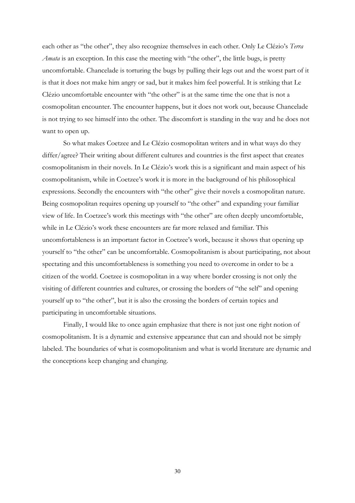each other as "the other", they also recognize themselves in each other. Only Le Clézio's Terra Amata is an exception. In this case the meeting with "the other", the little bugs, is pretty uncomfortable. Chancelade is torturing the bugs by pulling their legs out and the worst part of it is that it does not make him angry or sad, but it makes him feel powerful. It is striking that Le Clézio uncomfortable encounter with "the other" is at the same time the one that is not a cosmopolitan encounter. The encounter happens, but it does not work out, because Chancelade is not trying to see himself into the other. The discomfort is standing in the way and he does not want to open up.

 So what makes Coetzee and Le Clézio cosmopolitan writers and in what ways do they differ/agree? Their writing about different cultures and countries is the first aspect that creates cosmopolitanism in their novels. In Le Clézio's work this is a significant and main aspect of his cosmopolitanism, while in Coetzee's work it is more in the background of his philosophical expressions. Secondly the encounters with "the other" give their novels a cosmopolitan nature. Being cosmopolitan requires opening up yourself to "the other" and expanding your familiar view of life. In Coetzee's work this meetings with "the other" are often deeply uncomfortable, while in Le Clézio's work these encounters are far more relaxed and familiar. This uncomfortableness is an important factor in Coetzee's work, because it shows that opening up yourself to "the other" can be uncomfortable. Cosmopolitanism is about participating, not about spectating and this uncomfortableness is something you need to overcome in order to be a citizen of the world. Coetzee is cosmopolitan in a way where border crossing is not only the visiting of different countries and cultures, or crossing the borders of "the self" and opening yourself up to "the other", but it is also the crossing the borders of certain topics and participating in uncomfortable situations.

 Finally, I would like to once again emphasize that there is not just one right notion of cosmopolitanism. It is a dynamic and extensive appearance that can and should not be simply labeled. The boundaries of what is cosmopolitanism and what is world literature are dynamic and the conceptions keep changing and changing.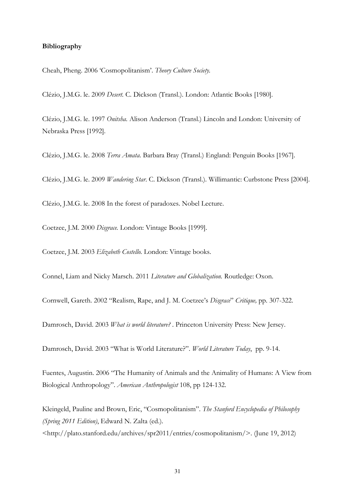## Bibliography

Cheah, Pheng. 2006 'Cosmopolitanism'. Theory Culture Society.

Clézio, J.M.G. le. 2009 Desert. C. Dickson (Transl.). London: Atlantic Books [1980].

Clézio, J.M.G. le. 1997 Onitsha. Alison Anderson (Transl.) Lincoln and London: University of Nebraska Press [1992].

Clézio, J.M.G. le. 2008 Terra Amata. Barbara Bray (Transl.) England: Penguin Books [1967].

Clézio, J.M.G. le. 2009 Wandering Star. C. Dickson (Transl.). Willimantic: Curbstone Press [2004].

Clézio, J.M.G. le. 2008 In the forest of paradoxes. Nobel Lecture.

Coetzee, J.M. 2000 Disgrace. London: Vintage Books [1999].

Coetzee, J.M. 2003 Elizabeth Costello. London: Vintage books.

Connel, Liam and Nicky Marsch. 2011 Literature and Globalization. Routledge: Oxon.

Cornwell, Gareth. 2002 "Realism, Rape, and J. M. Coetzee's Disgrace" Critique, pp. 307-322.

Damrosch, David. 2003 What is world literature? . Princeton University Press: New Jersey.

Damrosch, David. 2003 "What is World Literature?". World Literature Today, pp. 9-14.

Fuentes, Augustin. 2006 "The Humanity of Animals and the Animality of Humans: A View from Biological Anthropology". American Anthropologist 108, pp 124-132.

Kleingeld, Pauline and Brown, Eric, "Cosmopolitanism". The Stanford Encyclopedia of Philosophy (Spring 2011 Edition), Edward N. Zalta (ed.). <http://plato.stanford.edu/archives/spr2011/entries/cosmopolitanism/>. (June 19, 2012)